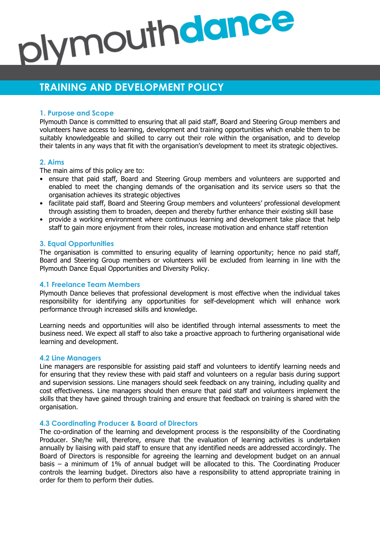# plymouthdance

# **TRAINING AND DEVELOPMENT POLICY**

# **1. Purpose and Scope**

Plymouth Dance is committed to ensuring that all paid staff, Board and Steering Group members and volunteers have access to learning, development and training opportunities which enable them to be suitably knowledgeable and skilled to carry out their role within the organisation, and to develop their talents in any ways that fit with the organisation's development to meet its strategic objectives.

# **2. Aims**

The main aims of this policy are to:

- ensure that paid staff, Board and Steering Group members and volunteers are supported and enabled to meet the changing demands of the organisation and its service users so that the organisation achieves its strategic objectives
- facilitate paid staff, Board and Steering Group members and volunteers' professional development through assisting them to broaden, deepen and thereby further enhance their existing skill base
- provide a working environment where continuous learning and development take place that help staff to gain more enjoyment from their roles, increase motivation and enhance staff retention

#### **3. Equal Opportunities**

The organisation is committed to ensuring equality of learning opportunity; hence no paid staff, Board and Steering Group members or volunteers will be excluded from learning in line with the Plymouth Dance Equal Opportunities and Diversity Policy.

# **4.1 Freelance Team Members**

Plymouth Dance believes that professional development is most effective when the individual takes responsibility for identifying any opportunities for self-development which will enhance work performance through increased skills and knowledge.

Learning needs and opportunities will also be identified through internal assessments to meet the business need. We expect all staff to also take a proactive approach to furthering organisational wide learning and development.

#### **4.2 Line Managers**

Line managers are responsible for assisting paid staff and volunteers to identify learning needs and for ensuring that they review these with paid staff and volunteers on a regular basis during support and supervision sessions. Line managers should seek feedback on any training, including quality and cost effectiveness. Line managers should then ensure that paid staff and volunteers implement the skills that they have gained through training and ensure that feedback on training is shared with the organisation.

# **4.3 Coordinating Producer & Board of Directors**

The co-ordination of the learning and development process is the responsibility of the Coordinating Producer. She/he will, therefore, ensure that the evaluation of learning activities is undertaken annually by liaising with paid staff to ensure that any identified needs are addressed accordingly. The Board of Directors is responsible for agreeing the learning and development budget on an annual basis – a minimum of 1% of annual budget will be allocated to this. The Coordinating Producer controls the learning budget. Directors also have a responsibility to attend appropriate training in order for them to perform their duties.